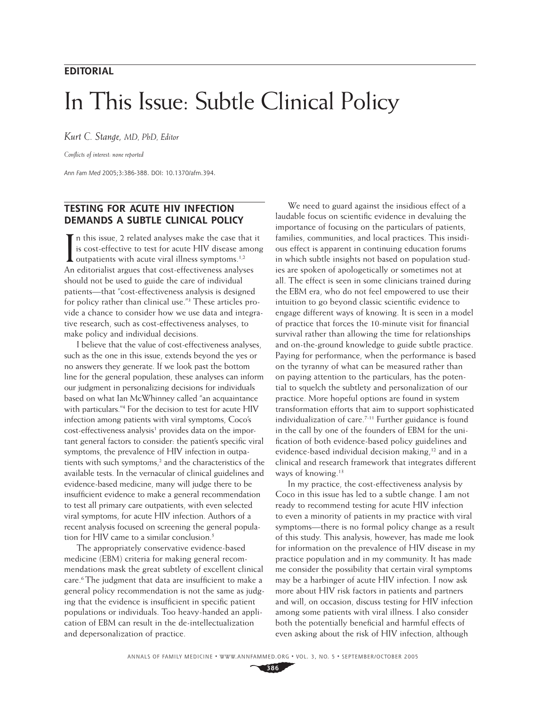#### **EDITORIAL**

# In This Issue: Subtle Clinical Policy

*Kurt C. Stange, MD, PhD, Editor*

*Confl icts of interest: none reported*

*Ann Fam Med* 2005;3:386-388. DOI: 10.1370/afm.394.

### **TESTING FOR ACUTE HIV INFECTION DEMANDS A SUBTLE CLINICAL POLICY**

In this issue, 2 related analyses make the case the is cost-effective to test for acute HIV disease and outpatients with acute viral illness symptoms.<sup>1,2</sup> n this issue, 2 related analyses make the case that it is cost-effective to test for acute HIV disease among An editorialist argues that cost-effectiveness analyses should not be used to guide the care of individual patients—that "cost-effectiveness analysis is designed for policy rather than clinical use."3 These articles provide a chance to consider how we use data and integrative research, such as cost-effectiveness analyses, to make policy and individual decisions.

I believe that the value of cost-effectiveness analyses, such as the one in this issue, extends beyond the yes or no answers they generate. If we look past the bottom line for the general population, these analyses can inform our judgment in personalizing decisions for individuals based on what Ian McWhinney called "an acquaintance with particulars."4 For the decision to test for acute HIV infection among patients with viral symptoms, Coco's cost-effectiveness analysis<sup>1</sup> provides data on the important general factors to consider: the patient's specific viral symptoms, the prevalence of HIV infection in outpatients with such symptoms,<sup>2</sup> and the characteristics of the available tests. In the vernacular of clinical guidelines and evidence-based medicine, many will judge there to be insufficient evidence to make a general recommendation to test all primary care outpatients, with even selected viral symptoms, for acute HIV infection. Authors of a recent analysis focused on screening the general population for HIV came to a similar conclusion.<sup>5</sup>

The appropriately conservative evidence-based medicine (EBM) criteria for making general recommendations mask the great subtlety of excellent clinical care.<sup>6</sup> The judgment that data are insufficient to make a general policy recommendation is not the same as judging that the evidence is insufficient in specific patient populations or individuals. Too heavy-handed an application of EBM can result in the de-intellectualization and depersonalization of practice.

We need to guard against the insidious effect of a laudable focus on scientific evidence in devaluing the importance of focusing on the particulars of patients, families, communities, and local practices. This insidious effect is apparent in continuing education forums in which subtle insights not based on population studies are spoken of apologetically or sometimes not at all. The effect is seen in some clinicians trained during the EBM era, who do not feel empowered to use their intuition to go beyond classic scientific evidence to engage different ways of knowing. It is seen in a model of practice that forces the 10-minute visit for financial survival rather than allowing the time for relationships and on-the-ground knowledge to guide subtle practice. Paying for performance, when the performance is based on the tyranny of what can be measured rather than on paying attention to the particulars, has the potential to squelch the subtlety and personalization of our practice. More hopeful options are found in system transformation efforts that aim to support sophisticated individualization of care.<sup>7-11</sup> Further guidance is found in the call by one of the founders of EBM for the unification of both evidence-based policy guidelines and evidence-based individual decision making,<sup>12</sup> and in a clinical and research framework that integrates different ways of knowing.<sup>13</sup>

In my practice, the cost-effectiveness analysis by Coco in this issue has led to a subtle change. I am not ready to recommend testing for acute HIV infection to even a minority of patients in my practice with viral symptoms—there is no formal policy change as a result of this study. This analysis, however, has made me look for information on the prevalence of HIV disease in my practice population and in my community. It has made me consider the possibility that certain viral symptoms may be a harbinger of acute HIV infection. I now ask more about HIV risk factors in patients and partners and will, on occasion, discuss testing for HIV infection among some patients with viral illness. I also consider both the potentially beneficial and harmful effects of even asking about the risk of HIV infection, although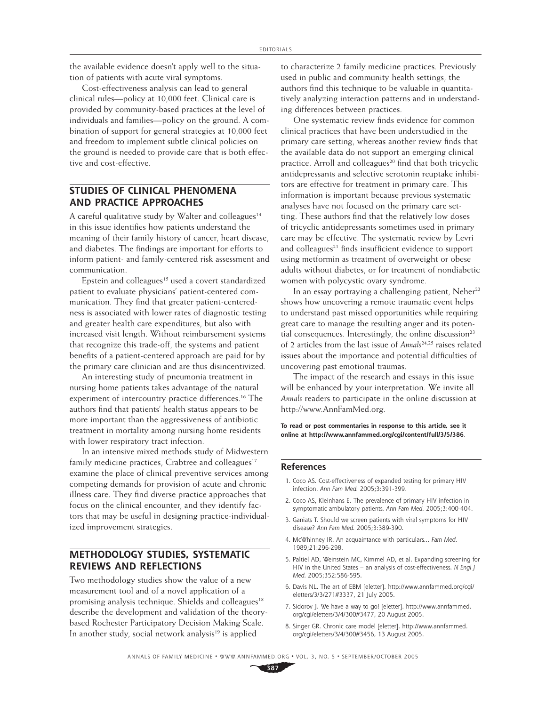the available evidence doesn't apply well to the situation of patients with acute viral symptoms.

Cost-effectiveness analysis can lead to general clinical rules—policy at 10,000 feet. Clinical care is provided by community-based practices at the level of individuals and families—policy on the ground. A combination of support for general strategies at 10,000 feet and freedom to implement subtle clinical policies on the ground is needed to provide care that is both effective and cost-effective.

#### **STUDIES OF CLINICAL PHENOMENA AND PRACTICE APPROACHES**

A careful qualitative study by Walter and colleagues<sup>14</sup> in this issue identifies how patients understand the meaning of their family history of cancer, heart disease, and diabetes. The findings are important for efforts to inform patient- and family-centered risk assessment and communication.

Epstein and colleagues<sup>15</sup> used a covert standardized patient to evaluate physicians' patient-centered communication. They find that greater patient-centeredness is associated with lower rates of diagnostic testing and greater health care expenditures, but also with increased visit length. Without reimbursement systems that recognize this trade-off, the systems and patient benefits of a patient-centered approach are paid for by the primary care clinician and are thus disincentivized.

An interesting study of pneumonia treatment in nursing home patients takes advantage of the natural experiment of intercountry practice differences.<sup>16</sup> The authors find that patients' health status appears to be more important than the aggressiveness of antibiotic treatment in mortality among nursing home residents with lower respiratory tract infection.

In an intensive mixed methods study of Midwestern family medicine practices, Crabtree and colleagues $17$ examine the place of clinical preventive services among competing demands for provision of acute and chronic illness care. They find diverse practice approaches that focus on the clinical encounter, and they identify factors that may be useful in designing practice-individualized improvement strategies.

### **METHODOLOGY STUDIES, SYSTEMATIC REVIEWS AND REFLECTIONS**

Two methodology studies show the value of a new measurement tool and of a novel application of a promising analysis technique. Shields and colleagues<sup>18</sup> describe the development and validation of the theorybased Rochester Participatory Decision Making Scale. In another study, social network analysis<sup>19</sup> is applied

to characterize 2 family medicine practices. Previously used in public and community health settings, the authors find this technique to be valuable in quantitatively analyzing interaction patterns and in understanding differences between practices.

One systematic review finds evidence for common clinical practices that have been understudied in the primary care setting, whereas another review finds that the available data do not support an emerging clinical practice. Arroll and colleagues<sup>20</sup> find that both tricyclic antidepressants and selective serotonin reuptake inhibitors are effective for treatment in primary care. This information is important because previous systematic analyses have not focused on the primary care setting. These authors find that the relatively low doses of tricyclic antidepressants sometimes used in primary care may be effective. The systematic review by Levri and colleagues<sup>21</sup> finds insufficient evidence to support using metformin as treatment of overweight or obese adults without diabetes, or for treatment of nondiabetic women with polycystic ovary syndrome.

In an essay portraying a challenging patient, Neher<sup>22</sup> shows how uncovering a remote traumatic event helps to understand past missed opportunities while requiring great care to manage the resulting anger and its potential consequences. Interestingly, the online discussion<sup>23</sup> of 2 articles from the last issue of *Annals*24,25 raises related issues about the importance and potential difficulties of uncovering past emotional traumas.

The impact of the research and essays in this issue will be enhanced by your interpretation. We invite all *Annals* readers to participate in the online discussion at http://www.AnnFamMed.org.

**To read or post commentaries in response to this article, see it online at http://www.annfammed.org/cgi/content/full/3/5/386**.

#### **References**

- 1. Coco AS. Cost-effectiveness of expanded testing for primary HIV infection. *Ann Fam Med.* 2005;3:391-399.
- 2. Coco AS, Kleinhans E. The prevalence of primary HIV infection in symptomatic ambulatory patients. *Ann Fam Med.* 2005;3:400-404.
- 3. Ganiats T. Should we screen patients with viral symptoms for HIV disease? *Ann Fam Med.* 2005;3:389-390.
- 4. McWhinney IR. An acquaintance with particulars... *Fam Med.*  1989;21:296-298.
- 5. Paltiel AD, Weinstein MC, Kimmel AD, et al. Expanding screening for HIV in the United States – an analysis of cost-effectiveness. *N Engl J Med.* 2005;352:586-595.
- 6. Davis NL. The art of EBM [eletter]. http://www.annfammed.org/cgi/ eletters/3/3/271#3337, 21 July 2005.
- 7. Sidorov J. We have a way to go! [eletter]. http://www.annfammed. org/cgi/eletters/3/4/300#3477, 20 August 2005.
- 8. Singer GR. Chronic care model [eletter]. http://www.annfammed. org/cgi/eletters/3/4/300#3456, 13 August 2005.

ANNALS OF FAMILY MEDICINE ✦ WWW.ANNFAMMED.ORG ✦ VOL. 3, NO. 5 ✦ SEPTEMBER/OCTOBER 2005